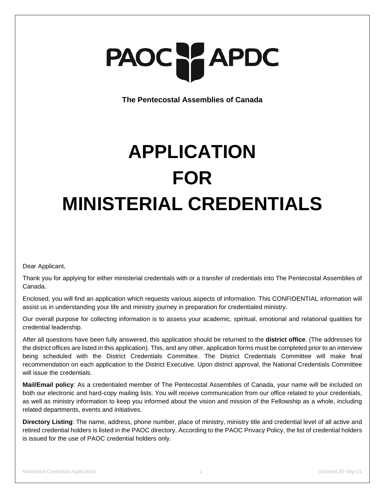# PAOC PAPDC

**The Pentecostal Assemblies of Canada**

# **APPLICATION FOR MINISTERIAL CREDENTIALS**

Dear Applicant,

Thank you for applying for either ministerial credentials with or a transfer of credentials into The Pentecostal Assemblies of Canada.

Enclosed, you will find an application which requests various aspects of information. This CONFIDENTIAL information will assist us in understanding your life and ministry journey in preparation for credentialed ministry.

Our overall purpose for collecting information is to assess your academic, spiritual, emotional and relational qualities for credential leadership.

After all questions have been fully answered, this application should be returned to the **district office**. (The addresses for the district offices are listed in this application). This, and any other, application forms must be completed prior to an interview being scheduled with the District Credentials Committee. The District Credentials Committee will make final recommendation on each application to the District Executive. Upon district approval, the National Credentials Committee will issue the credentials.

**Mail/Email policy**: As a credentialed member of The Pentecostal Assemblies of Canada, your name will be included on both our electronic and hard-copy mailing lists. You will receive communication from our office related to your credentials, as well as ministry information to keep you informed about the vision and mission of the Fellowship as a whole, including related departments, events and initiatives.

**Directory Listing**: The name, address, phone number, place of ministry, ministry title and credential level of all active and retired credential holders is listed in the PAOC directory. According to the PAOC Privacy Policy, the list of credential holders is issued for the use of PAOC credential holders only.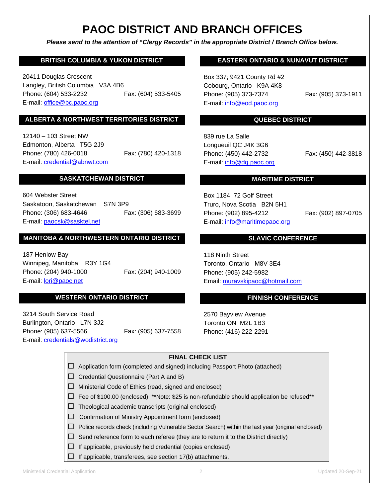## **PAOC DISTRICT AND BRANCH OFFICES**

*Please send to the attention of "Clergy Records" in the appropriate District / Branch Office below.*

#### **BRITISH COLUMBIA & YUKON DISTRICT**

20411 Douglas Crescent Langley, British Columbia V3A 4B6 Phone: (604) 533-2232 Fax: (604) 533-5405 E-mail: [office@bc.paoc.org](mailto:office@bc.paoc.org)

#### **ALBERTA & NORTHWEST TERRITORIES DISTRICT**

12140 – 103 Street NW Edmonton, Alberta T5G 2J9 Phone: (780) 426-0018 Fax: (780) 420-1318 E-mail: [credential@abnwt.c](mailto:credential@abnwt.)om

#### **SASKATCHEWAN DISTRICT**

604 Webster Street Saskatoon, Saskatchewan S7N 3P9 Phone: (306) 683-4646 Fax: (306) 683-3699 E-mail: [paocsk@sasktel.net](mailto:paocsk@sasktel.net)

#### **MANITOBA & NORTHWESTERN ONTARIO DISTRICT**

187 Henlow Bay Winnipeg, Manitoba R3Y 1G4 Phone: (204) 940-1000 Fax: (204) 940-1009 E-mail: [lori@paoc.net](mailto:lori@paoc.net)

#### **WESTERN ONTARIO DISTRICT**

3214 South Service Road Burlington, Ontario L7N 3J2 Phone: (905) 637-5566 Fax: (905) 637-7558 E-mail: [credentials@wodistrict.org](mailto:credentials@wodistrict.org)

#### **EASTERN ONTARIO & NUNAVUT DISTRICT**

Box 337; 9421 County Rd #2 Cobourg, Ontario K9A 4K8 Phone: (905) 373-7374 Fax: (905) 373-1911 E-mail: [info@eod.paoc.org](mailto:info@eod.paoc.org)

#### **QUEBEC DISTRICT**

839 rue La Salle Longueuil QC J4K 3G6 Phone: (450) 442-2732 Fax: (450) 442-3818 E-mail: [info@dq.paoc.org](mailto:info@dq.paoc.org)

#### **MARITIME DISTRICT**

Box 1184; 72 Golf Street Truro, Nova Scotia B2N 5H1 Phone: (902) 895-4212 Fax: (902) 897-0705 E-mail: [info@maritimepaoc.org](mailto:info@maritimepaoc.org)

#### **SLAVIC CONFERENCE**

118 Ninth Street Toronto, Ontario M8V 3E4 Phone: (905) 242-5982 Email: [muravskipaoc@hotmail.com](mailto:muravskipaoc@hotmail.com)

#### **FINNISH CONFERENCE**

2570 Bayview Avenue Toronto ON M2L 1B3 Phone: (416) 222-2291

#### **FINAL CHECK LIST**

|  | $\Box$ Application form (completed and signed) including Passport Photo (attached) |  |  |  |  |  |
|--|------------------------------------------------------------------------------------|--|--|--|--|--|
|--|------------------------------------------------------------------------------------|--|--|--|--|--|

- $\Box$  Credential Questionnaire (Part A and B)
- ☐ Ministerial Code of Ethics (read, signed and enclosed)
- $\Box$  Fee of \$100.00 (enclosed) \*\*Note: \$25 is non-refundable should application be refused\*\*
- $\Box$  Theological academic transcripts (original enclosed)
- ☐ Confirmation of Ministry Appointment form (enclosed)
- $\Box$  Police records check (including Vulnerable Sector Search) within the last year (original enclosed)
- $\Box$  Send reference form to each referee (they are to return it to the District directly)
- $\Box$  If applicable, previously held credential (copies enclosed)
- $\Box$  If applicable, transferees, see section 17(b) attachments.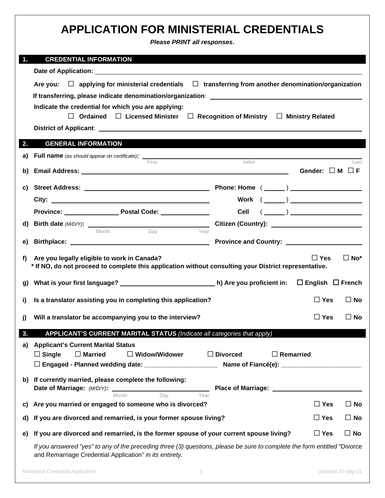|    | <b>APPLICATION FOR MINISTERIAL CREDENTIALS</b><br>Please PRINT all responses.                                                                                                       |                  |                                                                                                                                                                                                                                                                                                                                                                                             |              |
|----|-------------------------------------------------------------------------------------------------------------------------------------------------------------------------------------|------------------|---------------------------------------------------------------------------------------------------------------------------------------------------------------------------------------------------------------------------------------------------------------------------------------------------------------------------------------------------------------------------------------------|--------------|
| 1. | <b>CREDENTIAL INFORMATION</b>                                                                                                                                                       |                  |                                                                                                                                                                                                                                                                                                                                                                                             |              |
|    |                                                                                                                                                                                     |                  |                                                                                                                                                                                                                                                                                                                                                                                             |              |
|    | Are you: $\Box$ applying for ministerial credentials $\Box$ transferring from another denomination/organization                                                                     |                  |                                                                                                                                                                                                                                                                                                                                                                                             |              |
|    |                                                                                                                                                                                     |                  |                                                                                                                                                                                                                                                                                                                                                                                             |              |
|    | Indicate the credential for which you are applying:<br>$\Box$ Ordained $\Box$ Licensed Minister $\Box$ Recognition of Ministry $\Box$ Ministry Related                              |                  |                                                                                                                                                                                                                                                                                                                                                                                             |              |
|    |                                                                                                                                                                                     |                  |                                                                                                                                                                                                                                                                                                                                                                                             |              |
| 2. | <b>GENERAL INFORMATION</b>                                                                                                                                                          |                  |                                                                                                                                                                                                                                                                                                                                                                                             |              |
| a) |                                                                                                                                                                                     |                  |                                                                                                                                                                                                                                                                                                                                                                                             |              |
| b) | Initial<br>First                                                                                                                                                                    |                  | Gender: $\Box$ M $\Box$ F                                                                                                                                                                                                                                                                                                                                                                   | Last         |
|    |                                                                                                                                                                                     |                  |                                                                                                                                                                                                                                                                                                                                                                                             |              |
|    |                                                                                                                                                                                     |                  |                                                                                                                                                                                                                                                                                                                                                                                             |              |
|    |                                                                                                                                                                                     |                  | $\begin{picture}(150,10) \put(0,0){\dashbox{0.5}(10,0){ }} \put(15,0){\circle{10}} \put(15,0){\circle{10}} \put(15,0){\circle{10}} \put(15,0){\circle{10}} \put(15,0){\circle{10}} \put(15,0){\circle{10}} \put(15,0){\circle{10}} \put(15,0){\circle{10}} \put(15,0){\circle{10}} \put(15,0){\circle{10}} \put(15,0){\circle{10}} \put(15,0){\circle{10}} \put(15,0){\circle{10}} \put(15$ |              |
|    | Province: Province: Postal Code: Province: Province: Province: Province: Province: Province: Province: Province                                                                     |                  |                                                                                                                                                                                                                                                                                                                                                                                             |              |
|    | Month<br>Year<br>Dav                                                                                                                                                                |                  |                                                                                                                                                                                                                                                                                                                                                                                             |              |
|    |                                                                                                                                                                                     |                  |                                                                                                                                                                                                                                                                                                                                                                                             |              |
| f) | Are you legally eligible to work in Canada?<br>* If NO, do not proceed to complete this application without consulting your District representative.                                |                  | $\Box$ Yes                                                                                                                                                                                                                                                                                                                                                                                  | $\Box$ No*   |
|    |                                                                                                                                                                                     |                  | $\Box$ English $\Box$ French                                                                                                                                                                                                                                                                                                                                                                |              |
|    | i) Is a translator assisting you in completing this application?                                                                                                                    |                  | $\Box$ Yes $\Box$ No                                                                                                                                                                                                                                                                                                                                                                        |              |
| j) | Will a translator be accompanying you to the interview?                                                                                                                             |                  | $\Box$ Yes                                                                                                                                                                                                                                                                                                                                                                                  | $\square$ No |
| 3. | APPLICANT'S CURRENT MARITAL STATUS (Indicate all categories that apply)                                                                                                             |                  |                                                                                                                                                                                                                                                                                                                                                                                             |              |
| a) | <b>Applicant's Current Marital Status</b><br>$\Box$ Divorced<br>$\Box$ Single<br>$\Box$ Married<br>$\Box$ Widow/Widower                                                             | $\Box$ Remarried |                                                                                                                                                                                                                                                                                                                                                                                             |              |
|    | b) If currently married, please complete the following:<br>Date of Marriage: (M/D/Y):                                                                                               |                  |                                                                                                                                                                                                                                                                                                                                                                                             |              |
| C) | Dav<br>Year<br>Month<br>Are you married or engaged to someone who is divorced?                                                                                                      |                  | $\Box$ Yes                                                                                                                                                                                                                                                                                                                                                                                  | $\Box$ No    |
| d) | If you are divorced and remarried, is your former spouse living?                                                                                                                    |                  | $\Box$ Yes                                                                                                                                                                                                                                                                                                                                                                                  | $\Box$ No    |
| e) | If you are divorced and remarried, is the former spouse of your current spouse living?                                                                                              |                  | $\Box$ Yes                                                                                                                                                                                                                                                                                                                                                                                  | $\square$ No |
|    | If you answered "yes" to any of the preceding three (3) questions, please be sure to complete the form entitled "Divorce<br>and Remarriage Credential Application" in its entirety. |                  |                                                                                                                                                                                                                                                                                                                                                                                             |              |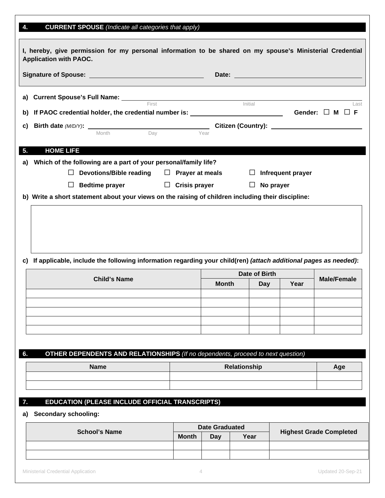### **4. CURRENT SPOUSE** *(Indicate all categories that apply)*

| <b>Application with PAOC.</b>                 | I, hereby, give permission for my personal information to be shared on my spouse's Ministerial Credential                                                                                                                                 |                      |              |                      |                   |                    |
|-----------------------------------------------|-------------------------------------------------------------------------------------------------------------------------------------------------------------------------------------------------------------------------------------------|----------------------|--------------|----------------------|-------------------|--------------------|
|                                               | Signature of Spouse: <u>contract and the set of Spouse</u>                                                                                                                                                                                |                      |              |                      |                   |                    |
|                                               | <b>a)</b> Current Spouse's Full Name: First <b>Constant Constant Constant Constant Constant Constant Constant Constant Constant Constant Constant Constant Constant Constant Constant Constant Constant Constant Constant Constant Co</b> |                      |              |                      |                   |                    |
| b)                                            | If PAOC credential holder, the credential number is: $\qquad \qquad$ Cender: $\Box$ M $\Box$ F                                                                                                                                            |                      |              |                      |                   | Last               |
| C)                                            | $\overline{\phantom{a}}$ Day<br>Month                                                                                                                                                                                                     |                      | Year         |                      |                   |                    |
| <b>HOME LIFE</b><br>5.                        |                                                                                                                                                                                                                                           |                      |              |                      |                   |                    |
| a)<br>$\Box$                                  | Which of the following are a part of your personal/family life?<br>Devotions/Bible reading $\Box$ Prayer at meals                                                                                                                         |                      |              | ப                    | Infrequent prayer |                    |
| ⊔                                             | <b>Bedtime prayer</b><br>b) Write a short statement about your views on the raising of children including their discipline:                                                                                                               | $\Box$ Crisis prayer |              | $\Box$               | No prayer         |                    |
| C)                                            | If applicable, include the following information regarding your child(ren) (attach additional pages as needed):                                                                                                                           |                      |              |                      |                   |                    |
|                                               |                                                                                                                                                                                                                                           |                      |              |                      |                   |                    |
|                                               | <b>Child's Name</b>                                                                                                                                                                                                                       |                      | <b>Month</b> | Date of Birth<br>Day | Year              | <b>Male/Female</b> |
|                                               |                                                                                                                                                                                                                                           |                      |              |                      |                   |                    |
|                                               |                                                                                                                                                                                                                                           |                      |              |                      |                   |                    |
|                                               |                                                                                                                                                                                                                                           |                      |              |                      |                   |                    |
|                                               | OTHER DEPENDENTS AND RELATIONSHIPS (If no dependents, proceed to next question)                                                                                                                                                           |                      |              |                      |                   |                    |
|                                               | <b>Name</b>                                                                                                                                                                                                                               |                      |              | Relationship         |                   | Age                |
|                                               |                                                                                                                                                                                                                                           |                      |              |                      |                   |                    |
| 6.<br>7.<br><b>Secondary schooling:</b><br>a) | EDUCATION (PLEASE INCLUDE OFFICIAL TRANSCRIPTS)                                                                                                                                                                                           |                      |              |                      |                   |                    |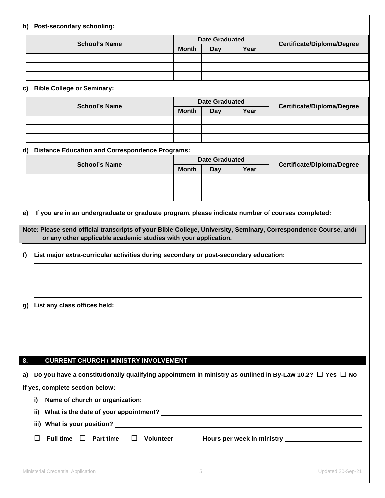#### **b) Post-secondary schooling:**

|                      |              | <b>Date Graduated</b> |      |                                   |
|----------------------|--------------|-----------------------|------|-----------------------------------|
| <b>School's Name</b> | <b>Month</b> | Day                   | Year | <b>Certificate/Diploma/Degree</b> |
|                      |              |                       |      |                                   |
|                      |              |                       |      |                                   |
|                      |              |                       |      |                                   |

#### **c) Bible College or Seminary:**

|                      |  | <b>Date Graduated</b> |     |      |                            |
|----------------------|--|-----------------------|-----|------|----------------------------|
| <b>School's Name</b> |  | <b>Month</b>          | Day | Year | Certificate/Diploma/Degree |
|                      |  |                       |     |      |                            |
|                      |  |                       |     |      |                            |
|                      |  |                       |     |      |                            |

#### **d) Distance Education and Correspondence Programs:**

| <b>School's Name</b> | <b>Date Graduated</b> |     |      |                            |  |
|----------------------|-----------------------|-----|------|----------------------------|--|
|                      | <b>Month</b>          | Day | Year | Certificate/Diploma/Degree |  |
|                      |                       |     |      |                            |  |
|                      |                       |     |      |                            |  |
|                      |                       |     |      |                            |  |

#### **e) If you are in an undergraduate or graduate program, please indicate number of courses completed:**

**Note: Please send official transcripts of your Bible College, University, Seminary, Correspondence Course, and/ or any other applicable academic studies with your application.**

**f) List major extra-curricular activities during secondary or post-secondary education:**

#### **g) List any class offices held:**

#### **8. CURRENT CHURCH / MINISTRY INVOLVEMENT**

**a) Do you have a constitutionally qualifying appointment in ministry as outlined in By-Law 10.2?** ☐ **Yes** ☐ **No**

**If yes, complete section below:**

|  |  |  | i) Name of church or organization: |
|--|--|--|------------------------------------|
|--|--|--|------------------------------------|

**ii) What is the date of your appointment?**

**iii) What is your position?** 

|  | $\Box$ Full time $\Box$ Part time |  | $\Box$ Volunteer | Hours per week in ministry |
|--|-----------------------------------|--|------------------|----------------------------|
|--|-----------------------------------|--|------------------|----------------------------|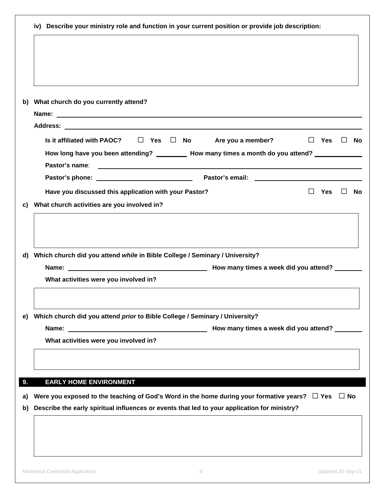|          | iv) Describe your ministry role and function in your current position or provide job description:                                                                                                                                                                      |            |           |    |
|----------|------------------------------------------------------------------------------------------------------------------------------------------------------------------------------------------------------------------------------------------------------------------------|------------|-----------|----|
|          |                                                                                                                                                                                                                                                                        |            |           |    |
|          |                                                                                                                                                                                                                                                                        |            |           |    |
|          |                                                                                                                                                                                                                                                                        |            |           |    |
|          |                                                                                                                                                                                                                                                                        |            |           |    |
| b)       | What church do you currently attend?                                                                                                                                                                                                                                   |            |           |    |
|          | Name: Name:                                                                                                                                                                                                                                                            |            |           |    |
|          |                                                                                                                                                                                                                                                                        |            |           |    |
|          | Is it affiliated with PAOC? $\Box$ Yes $\Box$ No<br>Are you a member?                                                                                                                                                                                                  | $\Box$ Yes | $\perp$   | No |
|          | How long have you been attending? __________ How many times a month do you attend? ________________                                                                                                                                                                    |            |           |    |
|          | Pastor's name:<br><u>state and the state of the state of the state of the state of the state of the state of the state of the state of the state of the state of the state of the state of the state of the state of the state of the state of the</u>                 |            |           |    |
|          |                                                                                                                                                                                                                                                                        |            |           |    |
|          | Have you discussed this application with your Pastor?                                                                                                                                                                                                                  | Yes        |           | No |
| C)       | What church activities are you involved in?                                                                                                                                                                                                                            |            |           |    |
| d)       |                                                                                                                                                                                                                                                                        |            |           |    |
|          | Which church did you attend while in Bible College / Seminary / University?<br>What activities were you involved in?                                                                                                                                                   |            |           |    |
|          |                                                                                                                                                                                                                                                                        |            |           |    |
| e)       | Which church did you attend prior to Bible College / Seminary / University?                                                                                                                                                                                            |            |           |    |
|          | Name: Name: Name: Name: Name: Name: Name: Name: Name: Name: Name: Name: Name: Name: Name: Name: Name: Name: Name: Name: Name: Name: Name: Name: Name: Name: Name: Name: Name: Name: Name: Name: Name: Name: Name: Name: Name:<br>How many times a week did you attend? |            |           |    |
|          | What activities were you involved in?                                                                                                                                                                                                                                  |            |           |    |
|          |                                                                                                                                                                                                                                                                        |            |           |    |
|          | <b>EARLY HOME ENVIRONMENT</b>                                                                                                                                                                                                                                          |            |           |    |
|          | Were you exposed to the teaching of God's Word in the home during your formative years? $\Box$ Yes                                                                                                                                                                     |            | $\Box$ No |    |
|          | Describe the early spiritual influences or events that led to your application for ministry?                                                                                                                                                                           |            |           |    |
| a)<br>b) |                                                                                                                                                                                                                                                                        |            |           |    |
| 9.       |                                                                                                                                                                                                                                                                        |            |           |    |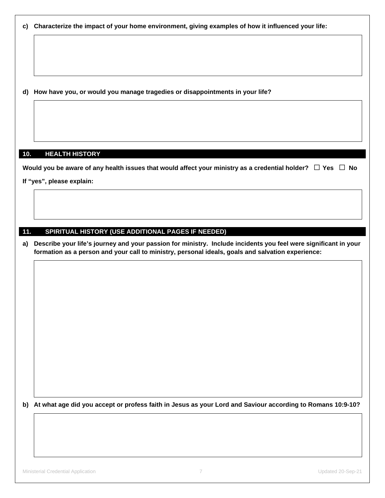**d) How have you, or would you manage tragedies or disappointments in your life?**

#### **10. HEALTH HISTORY**

**Would you be aware of any health issues that would affect your ministry as a credential holder?** ☐ **Yes** ☐ **No**

**If "yes", please explain:**

#### **11. SPIRITUAL HISTORY (USE ADDITIONAL PAGES IF NEEDED)**

**a) Describe your life's journey and your passion for ministry. Include incidents you feel were significant in your formation as a person and your call to ministry, personal ideals, goals and salvation experience:**

**b) At what age did you accept or profess faith in Jesus as your Lord and Saviour according to Romans 10:9-10?**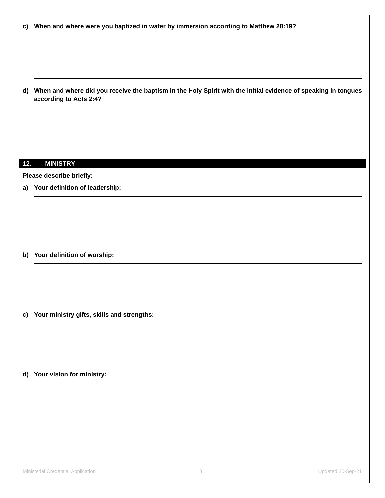|  | c) When and where were you baptized in water by immersion according to Matthew 28:19? |  |  |  |  |
|--|---------------------------------------------------------------------------------------|--|--|--|--|
|--|---------------------------------------------------------------------------------------|--|--|--|--|

**d) When and where did you receive the baptism in the Holy Spirit with the initial evidence of speaking in tongues according to Acts 2:4?**

#### **12. MINISTRY**

**Please describe briefly:**

**a) Your definition of leadership:**

**b) Your definition of worship:**

**c) Your ministry gifts, skills and strengths:**

**d) Your vision for ministry:**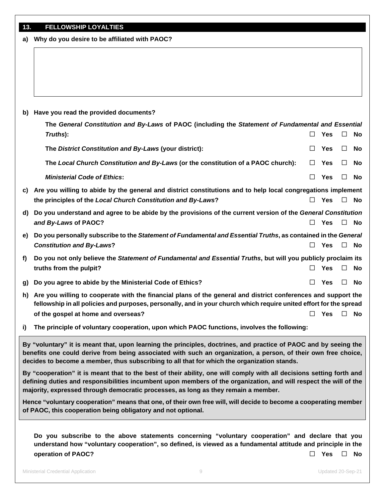| 13. | <b>FELLOWSHIP LOYALTIES</b> |
|-----|-----------------------------|

|    | a) Why do you desire to be affiliated with PAOC?                                                                                                                                                                                    |        |            |        |              |  |
|----|-------------------------------------------------------------------------------------------------------------------------------------------------------------------------------------------------------------------------------------|--------|------------|--------|--------------|--|
|    |                                                                                                                                                                                                                                     |        |            |        |              |  |
|    |                                                                                                                                                                                                                                     |        |            |        |              |  |
|    |                                                                                                                                                                                                                                     |        |            |        |              |  |
| b) | Have you read the provided documents?                                                                                                                                                                                               |        |            |        |              |  |
|    | The General Constitution and By-Laws of PAOC (including the Statement of Fundamental and Essential                                                                                                                                  |        |            |        |              |  |
|    | Truths):                                                                                                                                                                                                                            | $\Box$ | <b>Yes</b> | $\Box$ | No           |  |
|    | The District Constitution and By-Laws (your district):                                                                                                                                                                              | $\Box$ | <b>Yes</b> | $\Box$ | No           |  |
|    | The Local Church Constitution and By-Laws (or the constitution of a PAOC church):                                                                                                                                                   |        | <b>Yes</b> | $\Box$ | No           |  |
|    | <b>Ministerial Code of Ethics:</b>                                                                                                                                                                                                  | $\Box$ | Yes        | $\Box$ | No           |  |
| C) | Are you willing to abide by the general and district constitutions and to help local congregations implement                                                                                                                        |        |            |        |              |  |
|    | the principles of the Local Church Constitution and By-Laws?                                                                                                                                                                        | $\Box$ | <b>Yes</b> |        | $\square$ No |  |
| d) | Do you understand and agree to be abide by the provisions of the current version of the General Constitution                                                                                                                        |        |            |        |              |  |
|    | and By-Laws of PAOC?                                                                                                                                                                                                                | $\Box$ | Yes        | $\Box$ | No           |  |
| e) | Do you personally subscribe to the Statement of Fundamental and Essential Truths, as contained in the General                                                                                                                       |        |            |        |              |  |
|    | <b>Constitution and By-Laws?</b>                                                                                                                                                                                                    | П      | Yes        | $\Box$ | No           |  |
| f) | Do you not only believe the Statement of Fundamental and Essential Truths, but will you publicly proclaim its                                                                                                                       |        |            |        |              |  |
|    | truths from the pulpit?                                                                                                                                                                                                             | П      | <b>Yes</b> | $\Box$ | No           |  |
| g) | Do you agree to abide by the Ministerial Code of Ethics?                                                                                                                                                                            | П      | Yes        | П      | <b>No</b>    |  |
| h) | Are you willing to cooperate with the financial plans of the general and district conferences and support the<br>fellowship in all policies and purposes, personally, and in your church which require united effort for the spread |        |            |        |              |  |
|    | of the gospel at home and overseas?                                                                                                                                                                                                 |        | Yes        |        | $\square$ No |  |
|    |                                                                                                                                                                                                                                     |        |            |        |              |  |
| i) | The principle of voluntary cooperation, upon which PAOC functions, involves the following:                                                                                                                                          |        |            |        |              |  |

**By "voluntary" it is meant that, upon learning the principles, doctrines, and practice of PAOC and by seeing the benefits one could derive from being associated with such an organization, a person, of their own free choice, decides to become a member, thus subscribing to all that for which the organization stands.** 

**By "cooperation" it is meant that to the best of their ability, one will comply with all decisions setting forth and defining duties and responsibilities incumbent upon members of the organization, and will respect the will of the majority, expressed through democratic processes, as long as they remain a member.**

**Hence "voluntary cooperation" means that one, of their own free will, will decide to become a cooperating member of PAOC, this cooperation being obligatory and not optional.**

**Do you subscribe to the above statements concerning "voluntary cooperation" and declare that you understand how "voluntary cooperation", so defined, is viewed as a fundamental attitude and principle in the operation of PAOC?** ☐ **Yes** ☐ **No**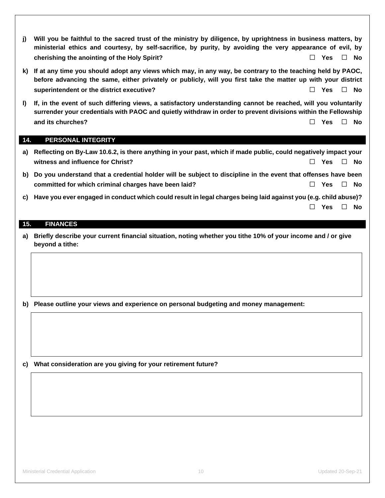- **j) Will you be faithful to the sacred trust of the ministry by diligence, by uprightness in business matters, by ministerial ethics and courtesy, by self-sacrifice, by purity, by avoiding the very appearance of evil, by cherishing the anointing of the Holy Spirit?** ☐ **Yes** ☐ **No**
- **k) If at any time you should adopt any views which may, in any way, be contrary to the teaching held by PAOC, before advancing the same, either privately or publicly, will you first take the matter up with your district superintendent or the district executive?** ☐ **Yes** ☐ **No**
- **l) If, in the event of such differing views, a satisfactory understanding cannot be reached, will you voluntarily surrender your credentials with PAOC and quietly withdraw in order to prevent divisions within the Fellowship and its churches?** ☐ **Yes** ☐ **No**

#### **14. PERSONAL INTEGRITY**

- **a) Reflecting on By-Law 10.6.2, is there anything in your past, which if made public, could negatively impact your witness and influence for Christ?** ☐ **Yes** ☐ **No**
- **b) Do you understand that a credential holder will be subject to discipline in the event that offenses have been committed for which criminal charges have been laid?** ☐ **Yes** ☐ **No**
- **c) Have you ever engaged in conduct which could result in legal charges being laid against you (e.g. child abuse)?** ☐ **Yes** ☐ **No**

#### **15. FINANCES**

**a) Briefly describe your current financial situation, noting whether you tithe 10% of your income and / or give beyond a tithe:**

**b) Please outline your views and experience on personal budgeting and money management:**

**c) What consideration are you giving for your retirement future?**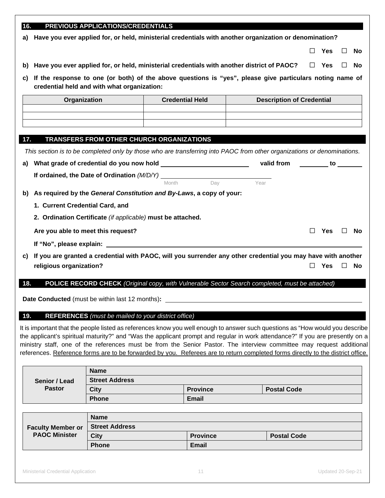#### **16. PREVIOUS APPLICATIONS/CREDENTIALS**

**a) Have you ever applied for, or held, ministerial credentials with another organization or denomination?** 

☐ **Yes** ☐ **No**

**c) If the response to one (or both) of the above questions is "yes", please give particulars noting name of credential held and with what organization:**

| Organization | <b>Credential Held</b> | <b>Description of Credential</b> |
|--------------|------------------------|----------------------------------|
|              |                        |                                  |
|              |                        |                                  |
|              |                        |                                  |

#### **17. TRANSFERS FROM OTHER CHURCH ORGANIZATIONS**

*This section is to be completed only by those who are transferring into PAOC from other organizations or denominations.*

| a)  | What grade of credential do you now hold                                                                     |       |     | valid from | to         |   |           |
|-----|--------------------------------------------------------------------------------------------------------------|-------|-----|------------|------------|---|-----------|
|     | If ordained, the Date of Ordination (M/D/Y)                                                                  |       |     |            |            |   |           |
|     |                                                                                                              | Month | Dav | Year       |            |   |           |
| b)  | As required by the General Constitution and By-Laws, a copy of your:                                         |       |     |            |            |   |           |
|     | 1. Current Credential Card, and                                                                              |       |     |            |            |   |           |
|     | 2. Ordination Certificate (if applicable) must be attached.                                                  |       |     |            |            |   |           |
|     | Are you able to meet this request?                                                                           |       |     |            | Yes        |   | <b>No</b> |
|     |                                                                                                              |       |     |            |            |   |           |
| C)  | If you are granted a credential with PAOC, will you surrender any other credential you may have with another |       |     |            |            |   |           |
|     | religious organization?                                                                                      |       |     |            | <b>Yes</b> | Ш | No        |
|     |                                                                                                              |       |     |            |            |   |           |
| 18. | <b>POLICE RECORD CHECK</b> (Original copy, with Vulnerable Sector Search completed, must be attached)        |       |     |            |            |   |           |

**Date Conducted** (must be within last 12 months)**:**

#### **19. REFERENCES** *(must be mailed to your district office)*

It is important that the people listed as references know you well enough to answer such questions as "How would you describe the applicant's spiritual maturity?" and "Was the applicant prompt and regular in work attendance?" If you are presently on a ministry staff, one of the references must be from the Senior Pastor. The interview committee may request additional references. Reference forms are to be forwarded by you. Referees are to return completed forms directly to the district office.

|               | <b>Name</b>           |                 |                    |
|---------------|-----------------------|-----------------|--------------------|
| Senior / Lead | <b>Street Address</b> |                 |                    |
| <b>Pastor</b> | <b>City</b>           | <b>Province</b> | <b>Postal Code</b> |
|               | <b>Phone</b>          | <b>Email</b>    |                    |

|                          | <b>Name</b>           |                 |                    |
|--------------------------|-----------------------|-----------------|--------------------|
| <b>Faculty Member or</b> | <b>Street Address</b> |                 |                    |
| <b>PAOC Minister</b>     | City                  | <b>Province</b> | <b>Postal Code</b> |
|                          | <b>Phone</b>          | <b>Email</b>    |                    |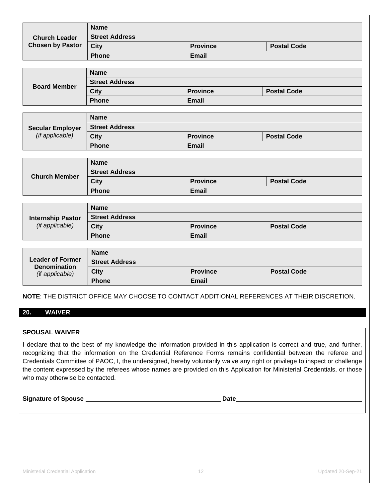| <b>Name</b><br><b>Street Address</b><br><b>Church Leader</b><br><b>Chosen by Pastor</b><br><b>Postal Code</b><br><b>City</b><br><b>Province</b><br><b>Phone</b><br><b>Email</b><br><b>Name</b><br><b>Street Address</b><br><b>Board Member</b><br><b>Province</b><br><b>Postal Code</b><br><b>City</b><br>Phone<br><b>Email</b><br><b>Name</b><br><b>Street Address</b><br><b>Secular Employer</b><br>(if applicable)<br><b>Postal Code</b><br><b>City</b><br><b>Province</b><br><b>Phone</b><br><b>Email</b><br><b>Name</b><br><b>Street Address</b><br><b>Church Member</b><br><b>Postal Code</b><br><b>Province</b><br><b>City</b><br><b>Phone</b><br><b>Email</b><br><b>Name</b><br><b>Street Address</b><br><b>Internship Pastor</b><br>(if applicable)<br><b>Province</b><br><b>Postal Code</b><br><b>City</b><br><b>Phone</b><br><b>Email</b><br><b>Name</b><br><b>Leader of Former</b><br><b>Street Address</b><br><b>Denomination</b><br><b>City</b><br><b>Postal Code</b><br><b>Province</b><br>(if applicable)<br><b>Phone</b><br><b>Email</b> |  |  |  |  |  |  |  |
|-----------------------------------------------------------------------------------------------------------------------------------------------------------------------------------------------------------------------------------------------------------------------------------------------------------------------------------------------------------------------------------------------------------------------------------------------------------------------------------------------------------------------------------------------------------------------------------------------------------------------------------------------------------------------------------------------------------------------------------------------------------------------------------------------------------------------------------------------------------------------------------------------------------------------------------------------------------------------------------------------------------------------------------------------------------|--|--|--|--|--|--|--|
|                                                                                                                                                                                                                                                                                                                                                                                                                                                                                                                                                                                                                                                                                                                                                                                                                                                                                                                                                                                                                                                           |  |  |  |  |  |  |  |
|                                                                                                                                                                                                                                                                                                                                                                                                                                                                                                                                                                                                                                                                                                                                                                                                                                                                                                                                                                                                                                                           |  |  |  |  |  |  |  |
|                                                                                                                                                                                                                                                                                                                                                                                                                                                                                                                                                                                                                                                                                                                                                                                                                                                                                                                                                                                                                                                           |  |  |  |  |  |  |  |
|                                                                                                                                                                                                                                                                                                                                                                                                                                                                                                                                                                                                                                                                                                                                                                                                                                                                                                                                                                                                                                                           |  |  |  |  |  |  |  |
|                                                                                                                                                                                                                                                                                                                                                                                                                                                                                                                                                                                                                                                                                                                                                                                                                                                                                                                                                                                                                                                           |  |  |  |  |  |  |  |
|                                                                                                                                                                                                                                                                                                                                                                                                                                                                                                                                                                                                                                                                                                                                                                                                                                                                                                                                                                                                                                                           |  |  |  |  |  |  |  |
|                                                                                                                                                                                                                                                                                                                                                                                                                                                                                                                                                                                                                                                                                                                                                                                                                                                                                                                                                                                                                                                           |  |  |  |  |  |  |  |
|                                                                                                                                                                                                                                                                                                                                                                                                                                                                                                                                                                                                                                                                                                                                                                                                                                                                                                                                                                                                                                                           |  |  |  |  |  |  |  |
|                                                                                                                                                                                                                                                                                                                                                                                                                                                                                                                                                                                                                                                                                                                                                                                                                                                                                                                                                                                                                                                           |  |  |  |  |  |  |  |
|                                                                                                                                                                                                                                                                                                                                                                                                                                                                                                                                                                                                                                                                                                                                                                                                                                                                                                                                                                                                                                                           |  |  |  |  |  |  |  |
|                                                                                                                                                                                                                                                                                                                                                                                                                                                                                                                                                                                                                                                                                                                                                                                                                                                                                                                                                                                                                                                           |  |  |  |  |  |  |  |
|                                                                                                                                                                                                                                                                                                                                                                                                                                                                                                                                                                                                                                                                                                                                                                                                                                                                                                                                                                                                                                                           |  |  |  |  |  |  |  |
|                                                                                                                                                                                                                                                                                                                                                                                                                                                                                                                                                                                                                                                                                                                                                                                                                                                                                                                                                                                                                                                           |  |  |  |  |  |  |  |
|                                                                                                                                                                                                                                                                                                                                                                                                                                                                                                                                                                                                                                                                                                                                                                                                                                                                                                                                                                                                                                                           |  |  |  |  |  |  |  |
|                                                                                                                                                                                                                                                                                                                                                                                                                                                                                                                                                                                                                                                                                                                                                                                                                                                                                                                                                                                                                                                           |  |  |  |  |  |  |  |
|                                                                                                                                                                                                                                                                                                                                                                                                                                                                                                                                                                                                                                                                                                                                                                                                                                                                                                                                                                                                                                                           |  |  |  |  |  |  |  |
|                                                                                                                                                                                                                                                                                                                                                                                                                                                                                                                                                                                                                                                                                                                                                                                                                                                                                                                                                                                                                                                           |  |  |  |  |  |  |  |
|                                                                                                                                                                                                                                                                                                                                                                                                                                                                                                                                                                                                                                                                                                                                                                                                                                                                                                                                                                                                                                                           |  |  |  |  |  |  |  |
|                                                                                                                                                                                                                                                                                                                                                                                                                                                                                                                                                                                                                                                                                                                                                                                                                                                                                                                                                                                                                                                           |  |  |  |  |  |  |  |
|                                                                                                                                                                                                                                                                                                                                                                                                                                                                                                                                                                                                                                                                                                                                                                                                                                                                                                                                                                                                                                                           |  |  |  |  |  |  |  |
|                                                                                                                                                                                                                                                                                                                                                                                                                                                                                                                                                                                                                                                                                                                                                                                                                                                                                                                                                                                                                                                           |  |  |  |  |  |  |  |
|                                                                                                                                                                                                                                                                                                                                                                                                                                                                                                                                                                                                                                                                                                                                                                                                                                                                                                                                                                                                                                                           |  |  |  |  |  |  |  |
|                                                                                                                                                                                                                                                                                                                                                                                                                                                                                                                                                                                                                                                                                                                                                                                                                                                                                                                                                                                                                                                           |  |  |  |  |  |  |  |
|                                                                                                                                                                                                                                                                                                                                                                                                                                                                                                                                                                                                                                                                                                                                                                                                                                                                                                                                                                                                                                                           |  |  |  |  |  |  |  |
|                                                                                                                                                                                                                                                                                                                                                                                                                                                                                                                                                                                                                                                                                                                                                                                                                                                                                                                                                                                                                                                           |  |  |  |  |  |  |  |
|                                                                                                                                                                                                                                                                                                                                                                                                                                                                                                                                                                                                                                                                                                                                                                                                                                                                                                                                                                                                                                                           |  |  |  |  |  |  |  |
|                                                                                                                                                                                                                                                                                                                                                                                                                                                                                                                                                                                                                                                                                                                                                                                                                                                                                                                                                                                                                                                           |  |  |  |  |  |  |  |
|                                                                                                                                                                                                                                                                                                                                                                                                                                                                                                                                                                                                                                                                                                                                                                                                                                                                                                                                                                                                                                                           |  |  |  |  |  |  |  |
|                                                                                                                                                                                                                                                                                                                                                                                                                                                                                                                                                                                                                                                                                                                                                                                                                                                                                                                                                                                                                                                           |  |  |  |  |  |  |  |

#### **NOTE**: THE DISTRICT OFFICE MAY CHOOSE TO CONTACT ADDITIONAL REFERENCES AT THEIR DISCRETION.

#### **20. WAIVER**

#### **SPOUSAL WAIVER**

I declare that to the best of my knowledge the information provided in this application is correct and true, and further, recognizing that the information on the Credential Reference Forms remains confidential between the referee and Credentials Committee of PAOC, I, the undersigned, hereby voluntarily waive any right or privilege to inspect or challenge the content expressed by the referees whose names are provided on this Application for Ministerial Credentials, or those who may otherwise be contacted.

**Signature of Spouse Date**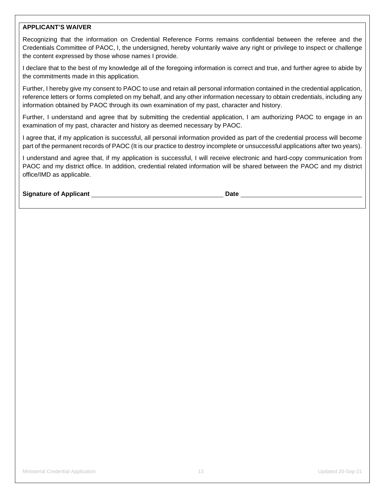#### **APPLICANT'S WAIVER**

Recognizing that the information on Credential Reference Forms remains confidential between the referee and the Credentials Committee of PAOC, I, the undersigned, hereby voluntarily waive any right or privilege to inspect or challenge the content expressed by those whose names I provide.

I declare that to the best of my knowledge all of the foregoing information is correct and true, and further agree to abide by the commitments made in this application.

Further, I hereby give my consent to PAOC to use and retain all personal information contained in the credential application, reference letters or forms completed on my behalf, and any other information necessary to obtain credentials, including any information obtained by PAOC through its own examination of my past, character and history.

Further, I understand and agree that by submitting the credential application, I am authorizing PAOC to engage in an examination of my past, character and history as deemed necessary by PAOC.

I agree that, if my application is successful, all personal information provided as part of the credential process will become part of the permanent records of PAOC (It is our practice to destroy incomplete or unsuccessful applications after two years).

I understand and agree that, if my application is successful, I will receive electronic and hard-copy communication from PAOC and my district office. In addition, credential related information will be shared between the PAOC and my district office/IMD as applicable.

**Signature of Applicant Community Community Community Community Community Community Community Community Community Community Community Community Community Community Community Community Community Community Community Communit**